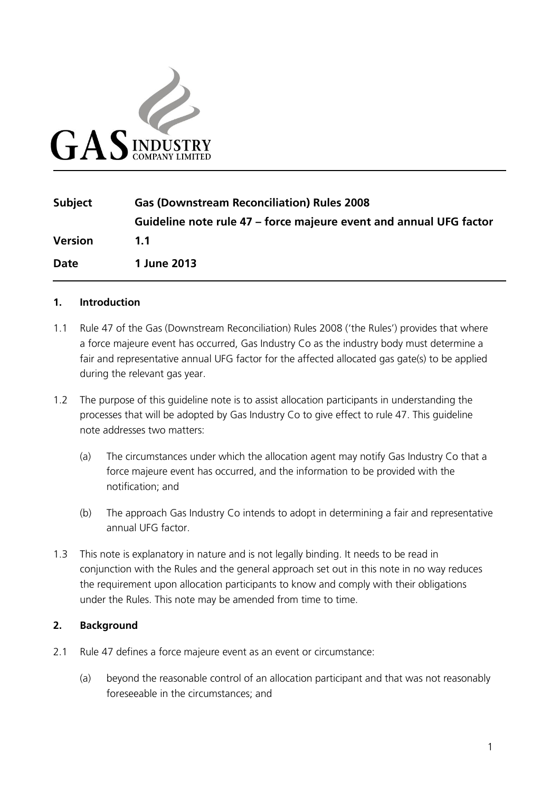

| <b>Subject</b> | <b>Gas (Downstream Reconciliation) Rules 2008</b>                  |
|----------------|--------------------------------------------------------------------|
|                | Guideline note rule 47 – force majeure event and annual UFG factor |
| <b>Version</b> | 1.1                                                                |
| <b>Date</b>    | 1 June 2013                                                        |

## **1. Introduction**

- 1.1 Rule 47 of the Gas (Downstream Reconciliation) Rules 2008 ('the Rules') provides that where a force majeure event has occurred, Gas Industry Co as the industry body must determine a fair and representative annual UFG factor for the affected allocated gas gate(s) to be applied during the relevant gas year.
- 1.2 The purpose of this guideline note is to assist allocation participants in understanding the processes that will be adopted by Gas Industry Co to give effect to rule 47. This guideline note addresses two matters:
	- (a) The circumstances under which the allocation agent may notify Gas Industry Co that a force majeure event has occurred, and the information to be provided with the notification; and
	- (b) The approach Gas Industry Co intends to adopt in determining a fair and representative annual UFG factor.
- 1.3 This note is explanatory in nature and is not legally binding. It needs to be read in conjunction with the Rules and the general approach set out in this note in no way reduces the requirement upon allocation participants to know and comply with their obligations under the Rules. This note may be amended from time to time.

## **2. Background**

- 2.1 Rule 47 defines a force majeure event as an event or circumstance:
	- (a) beyond the reasonable control of an allocation participant and that was not reasonably foreseeable in the circumstances; and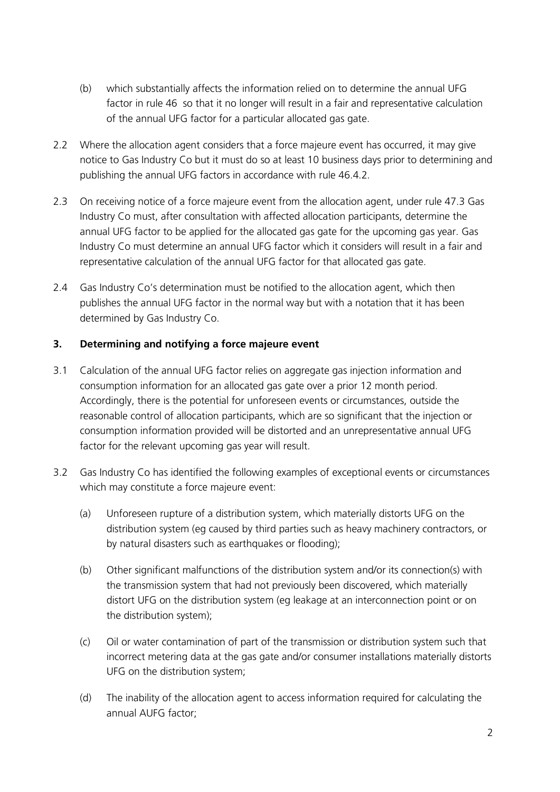- (b) which substantially affects the information relied on to determine the annual UFG factor in rule 46 so that it no longer will result in a fair and representative calculation of the annual UFG factor for a particular allocated gas gate.
- 2.2 Where the allocation agent considers that a force majeure event has occurred, it may give notice to Gas Industry Co but it must do so at least 10 business days prior to determining and publishing the annual UFG factors in accordance with rule 46.4.2.
- 2.3 On receiving notice of a force majeure event from the allocation agent, under rule 47.3 Gas Industry Co must, after consultation with affected allocation participants, determine the annual UFG factor to be applied for the allocated gas gate for the upcoming gas year. Gas Industry Co must determine an annual UFG factor which it considers will result in a fair and representative calculation of the annual UFG factor for that allocated gas gate.
- 2.4 Gas Industry Co's determination must be notified to the allocation agent, which then publishes the annual UFG factor in the normal way but with a notation that it has been determined by Gas Industry Co.

## **3. Determining and notifying a force majeure event**

- 3.1 Calculation of the annual UFG factor relies on aggregate gas injection information and consumption information for an allocated gas gate over a prior 12 month period. Accordingly, there is the potential for unforeseen events or circumstances, outside the reasonable control of allocation participants, which are so significant that the injection or consumption information provided will be distorted and an unrepresentative annual UFG factor for the relevant upcoming gas year will result.
- <span id="page-1-0"></span>3.2 Gas Industry Co has identified the following examples of exceptional events or circumstances which may constitute a force majeure event:
	- (a) Unforeseen rupture of a distribution system, which materially distorts UFG on the distribution system (eg caused by third parties such as heavy machinery contractors, or by natural disasters such as earthquakes or flooding);
	- (b) Other significant malfunctions of the distribution system and/or its connection(s) with the transmission system that had not previously been discovered, which materially distort UFG on the distribution system (eg leakage at an interconnection point or on the distribution system);
	- (c) Oil or water contamination of part of the transmission or distribution system such that incorrect metering data at the gas gate and/or consumer installations materially distorts UFG on the distribution system;
	- (d) The inability of the allocation agent to access information required for calculating the annual AUFG factor;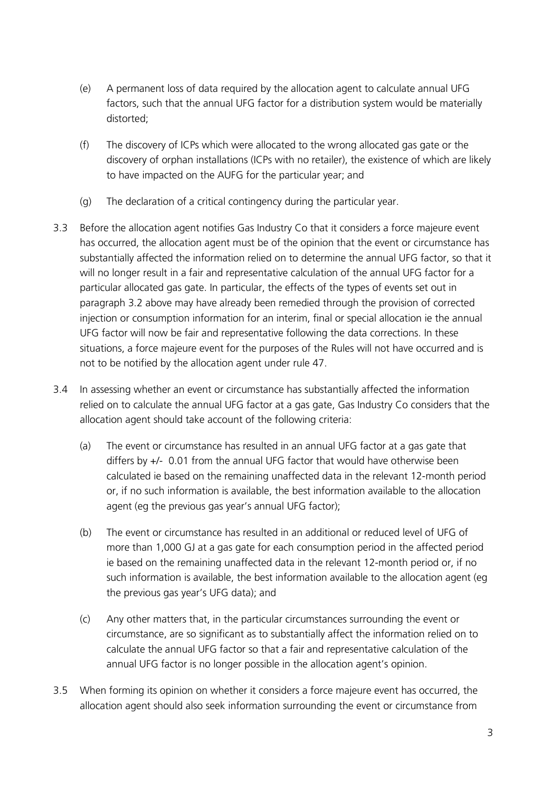- (e) A permanent loss of data required by the allocation agent to calculate annual UFG factors, such that the annual UFG factor for a distribution system would be materially distorted;
- (f) The discovery of ICPs which were allocated to the wrong allocated gas gate or the discovery of orphan installations (ICPs with no retailer), the existence of which are likely to have impacted on the AUFG for the particular year; and
- (g) The declaration of a critical contingency during the particular year.
- 3.3 Before the allocation agent notifies Gas Industry Co that it considers a force majeure event has occurred, the allocation agent must be of the opinion that the event or circumstance has substantially affected the information relied on to determine the annual UFG factor, so that it will no longer result in a fair and representative calculation of the annual UFG factor for a particular allocated gas gate. In particular, the effects of the types of events set out in paragraph [3.2](#page-1-0) above may have already been remedied through the provision of corrected injection or consumption information for an interim, final or special allocation ie the annual UFG factor will now be fair and representative following the data corrections. In these situations, a force majeure event for the purposes of the Rules will not have occurred and is not to be notified by the allocation agent under rule 47.
- 3.4 In assessing whether an event or circumstance has substantially affected the information relied on to calculate the annual UFG factor at a gas gate, Gas Industry Co considers that the allocation agent should take account of the following criteria:
	- (a) The event or circumstance has resulted in an annual UFG factor at a gas gate that differs by +/- 0.01 from the annual UFG factor that would have otherwise been calculated ie based on the remaining unaffected data in the relevant 12-month period or, if no such information is available, the best information available to the allocation agent (eg the previous gas year's annual UFG factor);
	- (b) The event or circumstance has resulted in an additional or reduced level of UFG of more than 1,000 GJ at a gas gate for each consumption period in the affected period ie based on the remaining unaffected data in the relevant 12-month period or, if no such information is available, the best information available to the allocation agent (eg the previous gas year's UFG data); and
	- (c) Any other matters that, in the particular circumstances surrounding the event or circumstance, are so significant as to substantially affect the information relied on to calculate the annual UFG factor so that a fair and representative calculation of the annual UFG factor is no longer possible in the allocation agent's opinion.
- 3.5 When forming its opinion on whether it considers a force majeure event has occurred, the allocation agent should also seek information surrounding the event or circumstance from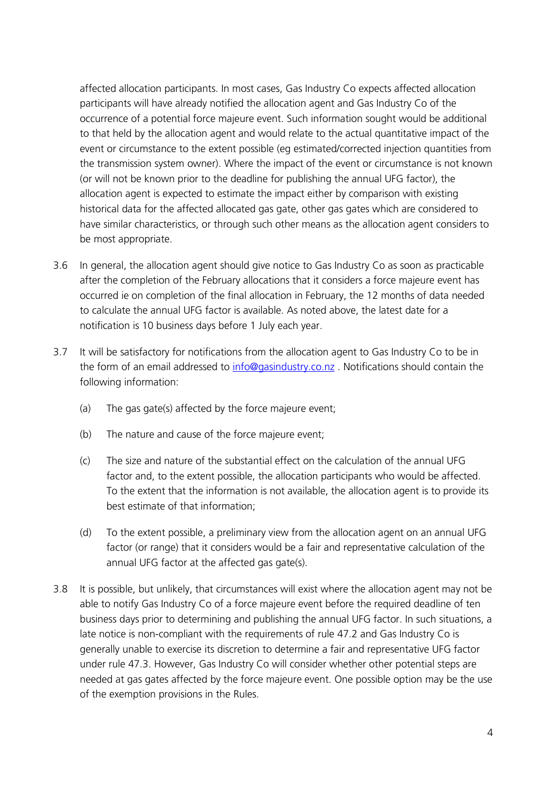affected allocation participants. In most cases, Gas Industry Co expects affected allocation participants will have already notified the allocation agent and Gas Industry Co of the occurrence of a potential force majeure event. Such information sought would be additional to that held by the allocation agent and would relate to the actual quantitative impact of the event or circumstance to the extent possible (eg estimated/corrected injection quantities from the transmission system owner). Where the impact of the event or circumstance is not known (or will not be known prior to the deadline for publishing the annual UFG factor), the allocation agent is expected to estimate the impact either by comparison with existing historical data for the affected allocated gas gate, other gas gates which are considered to have similar characteristics, or through such other means as the allocation agent considers to be most appropriate.

- 3.6 In general, the allocation agent should give notice to Gas Industry Co as soon as practicable after the completion of the February allocations that it considers a force majeure event has occurred ie on completion of the final allocation in February, the 12 months of data needed to calculate the annual UFG factor is available. As noted above, the latest date for a notification is 10 business days before 1 July each year.
- 3.7 It will be satisfactory for notifications from the allocation agent to Gas Industry Co to be in the form of an email addressed to [info@gasindustry.co.nz](mailto:info@gasindustry.co.nz) . Notifications should contain the following information:
	- (a) The gas gate(s) affected by the force majeure event;
	- (b) The nature and cause of the force majeure event;
	- (c) The size and nature of the substantial effect on the calculation of the annual UFG factor and, to the extent possible, the allocation participants who would be affected. To the extent that the information is not available, the allocation agent is to provide its best estimate of that information;
	- (d) To the extent possible, a preliminary view from the allocation agent on an annual UFG factor (or range) that it considers would be a fair and representative calculation of the annual UFG factor at the affected gas gate(s).
- 3.8 It is possible, but unlikely, that circumstances will exist where the allocation agent may not be able to notify Gas Industry Co of a force majeure event before the required deadline of ten business days prior to determining and publishing the annual UFG factor. In such situations, a late notice is non-compliant with the requirements of rule 47.2 and Gas Industry Co is generally unable to exercise its discretion to determine a fair and representative UFG factor under rule 47.3. However, Gas Industry Co will consider whether other potential steps are needed at gas gates affected by the force majeure event. One possible option may be the use of the exemption provisions in the Rules.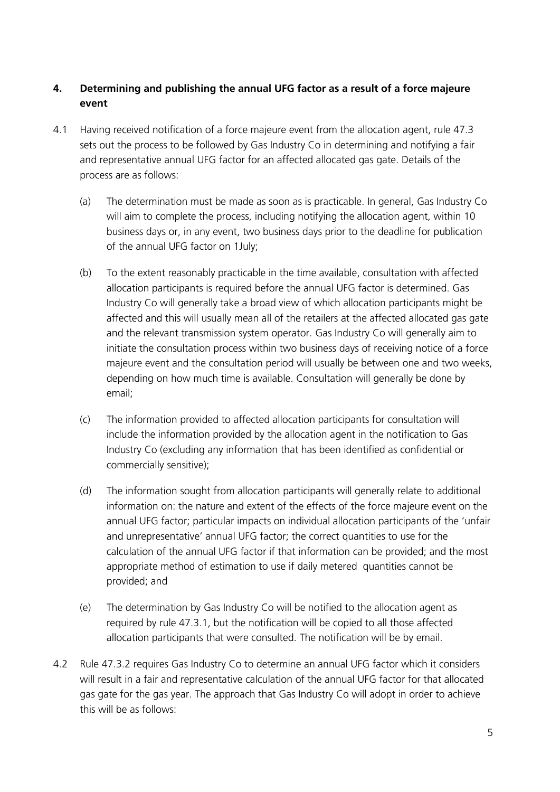## **4. Determining and publishing the annual UFG factor as a result of a force majeure event**

- 4.1 Having received notification of a force majeure event from the allocation agent, rule 47.3 sets out the process to be followed by Gas Industry Co in determining and notifying a fair and representative annual UFG factor for an affected allocated gas gate. Details of the process are as follows:
	- (a) The determination must be made as soon as is practicable. In general, Gas Industry Co will aim to complete the process, including notifying the allocation agent, within 10 business days or, in any event, two business days prior to the deadline for publication of the annual UFG factor on 1July;
	- (b) To the extent reasonably practicable in the time available, consultation with affected allocation participants is required before the annual UFG factor is determined. Gas Industry Co will generally take a broad view of which allocation participants might be affected and this will usually mean all of the retailers at the affected allocated gas gate and the relevant transmission system operator. Gas Industry Co will generally aim to initiate the consultation process within two business days of receiving notice of a force majeure event and the consultation period will usually be between one and two weeks, depending on how much time is available. Consultation will generally be done by email;
	- (c) The information provided to affected allocation participants for consultation will include the information provided by the allocation agent in the notification to Gas Industry Co (excluding any information that has been identified as confidential or commercially sensitive);
	- (d) The information sought from allocation participants will generally relate to additional information on: the nature and extent of the effects of the force majeure event on the annual UFG factor; particular impacts on individual allocation participants of the 'unfair and unrepresentative' annual UFG factor; the correct quantities to use for the calculation of the annual UFG factor if that information can be provided; and the most appropriate method of estimation to use if daily metered quantities cannot be provided; and
	- (e) The determination by Gas Industry Co will be notified to the allocation agent as required by rule 47.3.1, but the notification will be copied to all those affected allocation participants that were consulted. The notification will be by email.
- 4.2 Rule 47.3.2 requires Gas Industry Co to determine an annual UFG factor which it considers will result in a fair and representative calculation of the annual UFG factor for that allocated gas gate for the gas year. The approach that Gas Industry Co will adopt in order to achieve this will be as follows: